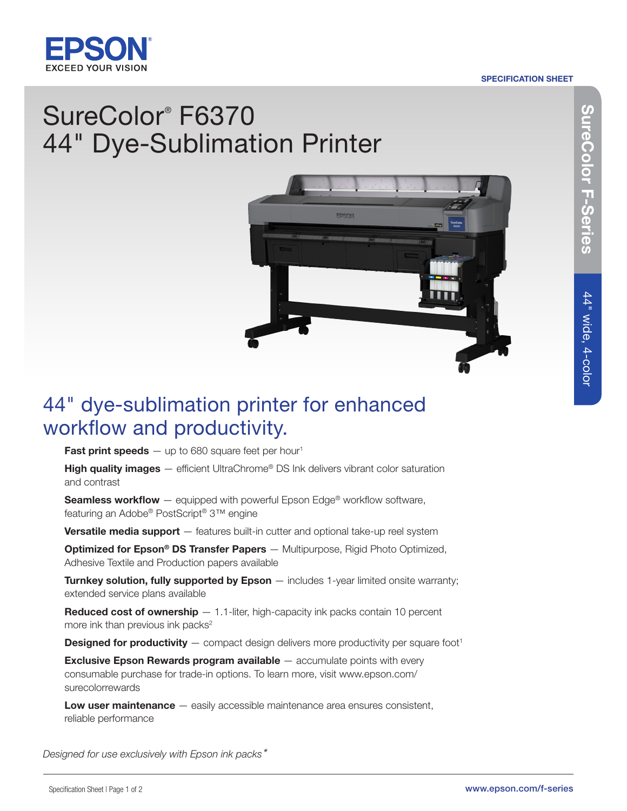

#### SPECIFICATION SHEET

# SureColor® F6370 44" Dye-Sublimation Printer



## 44" dye-sublimation printer for enhanced workflow and productivity.

Fast print speeds  $-$  up to 680 square feet per hour<sup>1</sup>

**High quality images**  $-$  efficient UltraChrome<sup>®</sup> DS Ink delivers vibrant color saturation and contrast

**Seamless workflow** — equipped with powerful Epson Edge<sup>®</sup> workflow software, featuring an Adobe® PostScript® 3™ engine

**Versatile media support** — features built-in cutter and optional take-up reel system

**Optimized for Epson® DS Transfer Papers** — Multipurpose, Rigid Photo Optimized, Adhesive Textile and Production papers available

**Turnkey solution, fully supported by Epson** — includes 1-year limited onsite warranty; extended service plans available

**Reduced cost of ownership**  $- 1.1$ -liter, high-capacity ink packs contain 10 percent more ink than previous ink packs<sup>2</sup>

**Designed for productivity**  $-$  compact design delivers more productivity per square foot<sup>1</sup>

Exclusive Epson Rewards program available — accumulate points with every consumable purchase for trade-in options. To learn more, visit www.epson.com/ surecolorrewards

Low user maintenance – easily accessible maintenance area ensures consistent, reliable performance

*Designed for use exclusively with Epson ink packs\**